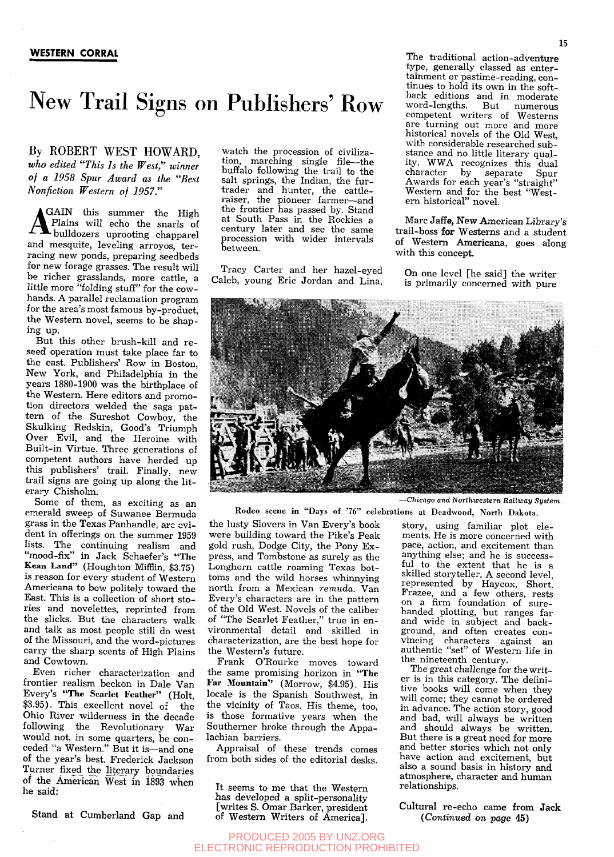## New Trail Signs on Publishers' Row

By ROBERT WEST HOWARD, *who edited "This Is the West," winner of a 1958 Spur Award as the "Best Nonfiction Western of 1957."* 

GAIN this summer the High Plains will echo the snarls of **Fouldozers** uprooting chapparel and mesquite, leveling arroyos, terracing new ponds, preparing seedbeds for new forage grasses. The result will be richer grasslands, more cattle, a little more "folding stuff" for the cowhands. A parallel reclamation program for the area's most famous by-product, the Western novel, seems to be shaping up.

But this other brush-kill and reseed operation must take place far to the east. Publishers' Row in Boston, New York, and Philadelphia in the years 1880-1900 was the birthplace of the Western. Here editors and promotion directors welded the saga pattern of the Sureshot Cowboy, the Skulking Redskin, Good's Triumph Over Evil, and the Heroine with Built-in Virtue. Three generations of competent authors have herded up this publishers' trail. Finally, new trail signs are going up along the literary Chisholm.

Some of them, as exciting as an emerald sweep of Suwanee Bermuda grass in the Texas Panhandle, arc evident in offerings on the summer 1959 lists. The continuing realism and "mood-fix" in Jack Schaefer's "The Kean Land" (Houghton Mifflin, \$3.75) is reason for every student of Western Americana to bow politely toward the East. This is a collection of short stories and novelettes, reprinted from the slicks. But the characters walk and talk as most people still do west of the Missouri, and the word-pictures carry the sharp scents of High Plains and Cowtown.

Even richer characterization and frontier realism beckon in Dale Van Every's "The Scarlet Feather" (Holt, \$3.95). This excellent novel of the Ohio River wilderness in the decade following the Revolutionary War would not, in some quarters, be conceded "a Western." But it is—and one of the year's best. Frederick Jackson Turner fixed the literary boundaries of the American West in 1893 when he said:

Stand at Cumberland Gap and

watch the procession of civilization, marching single file—the buffalo following the trail to the salt springs, the Indian, the furtrader and hunter, the cattleraiser, the pioneer farmer—and the frontier has passed by. Stand at South Pass in the Rockies a century later and see the same procession with wider intervals between.

Tracy Carter and her hazel-eyed Caleb, young Eric Jordan and Lina,

The traditional action-adventure type, generally classed as entertainment or pastime-reading, continues to hold its own in the softback editions and in moderate<br>word-lengths. But numerous But numerous competent writers of Westerns are turning out more and more historical novels of the Old West, with considerable researched substance and no little literary quality. WWA recognizes this dual character by separate Spur Awards for each year's "straight" Western and for the best "Western historical" novel.

Marc Jaffe, New American Library's trail-boss for Westerns and a student of Western Americana, goes along with this concept.

On one level [he said] the writer is primarily concerned with pure



Rodeo scene in "Days of '76" celebrations at Deadwood, **North Dakota.** 

the lusty Slovers in Van Every's book were building toward the Pike's Peak gold rush. Dodge City, the Pony Express, and Tombstone as surely as the Longhorn cattle roaming Texas bottoms and the wild horses whinnying north from a Mexican *remuda.* Van Every's characters are in the pattern of the Old West. Novels of the caliber of "The Scarlet Feather," true in environmental detail and skilled in characterization, are the best hope for the Western's future.

Frank O'Rourke moves toward the same promising horizon in "The Far Mountain" (Morrow, \$4.95). His locale is the Spanish Southwest, in the vicinity of Taos. His theme, too, is those formative years when the Southerner broke through the Appalachian barriers.

Appraisal of these trends comes from both sides of the editorial desks.

It seems to me that the Western has developed a split-personality [writes S. Omar Barker, president of Western Writers of America]. story, using familiar plot elements. He is more concerned with pace, action, and excitement than anything else; and he is successful to the extent that he is a skilled storyteller. A second level, represented by Haycox, Short, Frazee, and a few others, rests on a firm foundation of surehanded plotting, but ranges far and wide in subject and background, and often creates convincing characters against an authentic "set" of Western life in

*Chicago and Northwestern Railway System.* 

the nineteenth century. The great challenge for the writer is in this category. The definitive books will come when they will come; they cannot be ordered in advance. The action story, good and bad, will always be written and should always be written. But there is a great need for more and better stories which not only have action and excitement, but also a sound basis in history and atmosphere, character and human relationships.

Cultural re-echo came from Jack *(Continued on page* 45)

## PRODUCED 2005 BY UNZ.ORG ELECTRONIC REPRODUCTION PROHIBITED